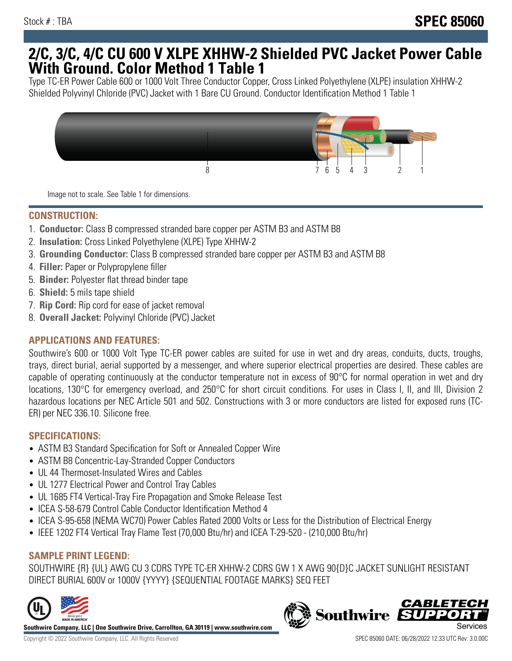## **2/C, 3/C, 4/C CU 600 V XLPE XHHW-2 Shielded PVC Jacket Power Cable With Ground. Color Method 1 Table 1**

Type TC-ER Power Cable 600 or 1000 Volt Three Conductor Copper, Cross Linked Polyethylene (XLPE) insulation XHHW-2 Shielded Polyvinyl Chloride (PVC) Jacket with 1 Bare CU Ground. Conductor Identification Method 1 Table 1



Image not to scale. See Table 1 for dimensions.

#### **CONSTRUCTION:**

- 1. **Conductor:** Class B compressed stranded bare copper per ASTM B3 and ASTM B8
- 2. **Insulation:** Cross Linked Polyethylene (XLPE) Type XHHW-2
- 3. **Grounding Conductor:** Class B compressed stranded bare copper per ASTM B3 and ASTM B8
- 4. **Filler:** Paper or Polypropylene filler
- 5. **Binder:** Polyester flat thread binder tape
- 6. **Shield:** 5 mils tape shield
- 7. **Rip Cord:** Rip cord for ease of jacket removal
- 8. **Overall Jacket:** Polyvinyl Chloride (PVC) Jacket

## **APPLICATIONS AND FEATURES:**

Southwire's 600 or 1000 Volt Type TC-ER power cables are suited for use in wet and dry areas, conduits, ducts, troughs, trays, direct burial, aerial supported by a messenger, and where superior electrical properties are desired. These cables are capable of operating continuously at the conductor temperature not in excess of 90°C for normal operation in wet and dry locations, 130°C for emergency overload, and 250°C for short circuit conditions. For uses in Class I, II, and III, Division 2 hazardous locations per NEC Article 501 and 502. Constructions with 3 or more conductors are listed for exposed runs (TC-ER) per NEC 336.10. Silicone free.

#### **SPECIFICATIONS:**

- ASTM B3 Standard Specification for Soft or Annealed Copper Wire
- ASTM B8 Concentric-Lay-Stranded Copper Conductors
- UL 44 Thermoset-Insulated Wires and Cables
- UL 1277 Electrical Power and Control Tray Cables
- UL 1685 FT4 Vertical-Tray Fire Propagation and Smoke Release Test
- ICEA S-58-679 Control Cable Conductor Identification Method 4
- ICEA S-95-658 (NEMA WC70) Power Cables Rated 2000 Volts or Less for the Distribution of Electrical Energy
- IEEE 1202 FT4 Vertical Tray Flame Test (70,000 Btu/hr) and ICEA T-29-520 (210,000 Btu/hr)

## **SAMPLE PRINT LEGEND:**

SOUTHWIRE {R} {UL} AWG CU 3 CDRS TYPE TC-ER XHHW-2 CDRS GW 1 X AWG 90{D}C JACKET SUNLIGHT RESISTANT DIRECT BURIAL 600V or 1000V {YYYY} {SEQUENTIAL FOOTAGE MARKS} SEQ FEET



**Southwire Company, LLC | One Southwire Drive, Carrollton, GA 30119 | www.southwire.com**